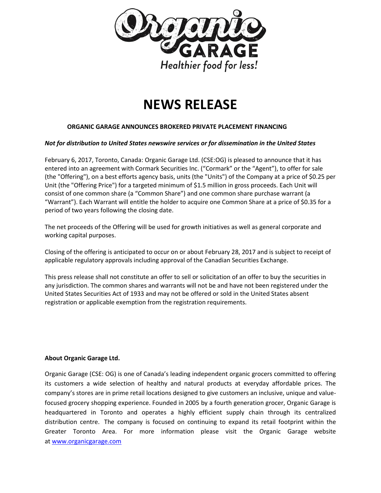

# **NEWS RELEASE**

## **ORGANIC GARAGE ANNOUNCES BROKERED PRIVATE PLACEMENT FINANCING**

#### *Not for distribution to United States newswire services or for dissemination in the United States*

February 6, 2017, Toronto, Canada: Organic Garage Ltd. (CSE:OG) is pleased to announce that it has entered into an agreement with Cormark Securities Inc. ("Cormark" or the "Agent"), to offer for sale (the "Offering"), on a best efforts agency basis, units (the "Units") of the Company at a price of \$0.25 per Unit (the "Offering Price") for a targeted minimum of \$1.5 million in gross proceeds. Each Unit will consist of one common share (a "Common Share") and one common share purchase warrant (a "Warrant"). Each Warrant will entitle the holder to acquire one Common Share at a price of \$0.35 for a period of two years following the closing date.

The net proceeds of the Offering will be used for growth initiatives as well as general corporate and working capital purposes.

Closing of the offering is anticipated to occur on or about February 28, 2017 and is subject to receipt of applicable regulatory approvals including approval of the Canadian Securities Exchange.

This press release shall not constitute an offer to sell or solicitation of an offer to buy the securities in any jurisdiction. The common shares and warrants will not be and have not been registered under the United States Securities Act of 1933 and may not be offered or sold in the United States absent registration or applicable exemption from the registration requirements.

#### **About Organic Garage Ltd.**

Organic Garage (CSE: OG) is one of Canada's leading independent organic grocers committed to offering its customers a wide selection of healthy and natural products at everyday affordable prices. The company's stores are in prime retail locations designed to give customers an inclusive, unique and valuefocused grocery shopping experience. Founded in 2005 by a fourth generation grocer, Organic Garage is headquartered in Toronto and operates a highly efficient supply chain through its centralized distribution centre. The company is focused on continuing to expand its retail footprint within the Greater Toronto Area. For more information please visit the Organic Garage website at [www.organicgarage.com](http://www.organicgarage.com/)